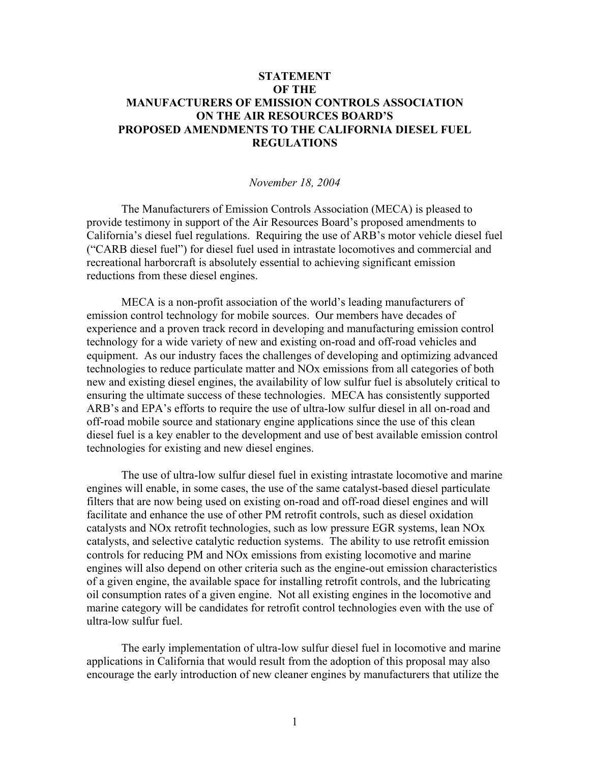## **STATEMENT OF THE MANUFACTURERS OF EMISSION CONTROLS ASSOCIATION ON THE AIR RESOURCES BOARD'S PROPOSED AMENDMENTS TO THE CALIFORNIA DIESEL FUEL REGULATIONS**

## *November 18, 2004*

 The Manufacturers of Emission Controls Association (MECA) is pleased to provide testimony in support of the Air Resources Board's proposed amendments to California's diesel fuel regulations. Requiring the use of ARB's motor vehicle diesel fuel ("CARB diesel fuel") for diesel fuel used in intrastate locomotives and commercial and recreational harborcraft is absolutely essential to achieving significant emission reductions from these diesel engines.

MECA is a non-profit association of the world's leading manufacturers of emission control technology for mobile sources. Our members have decades of experience and a proven track record in developing and manufacturing emission control technology for a wide variety of new and existing on-road and off-road vehicles and equipment. As our industry faces the challenges of developing and optimizing advanced technologies to reduce particulate matter and NOx emissions from all categories of both new and existing diesel engines, the availability of low sulfur fuel is absolutely critical to ensuring the ultimate success of these technologies. MECA has consistently supported ARB's and EPA's efforts to require the use of ultra-low sulfur diesel in all on-road and off-road mobile source and stationary engine applications since the use of this clean diesel fuel is a key enabler to the development and use of best available emission control technologies for existing and new diesel engines.

The use of ultra-low sulfur diesel fuel in existing intrastate locomotive and marine engines will enable, in some cases, the use of the same catalyst-based diesel particulate filters that are now being used on existing on-road and off-road diesel engines and will facilitate and enhance the use of other PM retrofit controls, such as diesel oxidation catalysts and NOx retrofit technologies, such as low pressure EGR systems, lean NOx catalysts, and selective catalytic reduction systems. The ability to use retrofit emission controls for reducing PM and NOx emissions from existing locomotive and marine engines will also depend on other criteria such as the engine-out emission characteristics of a given engine, the available space for installing retrofit controls, and the lubricating oil consumption rates of a given engine. Not all existing engines in the locomotive and marine category will be candidates for retrofit control technologies even with the use of ultra-low sulfur fuel.

The early implementation of ultra-low sulfur diesel fuel in locomotive and marine applications in California that would result from the adoption of this proposal may also encourage the early introduction of new cleaner engines by manufacturers that utilize the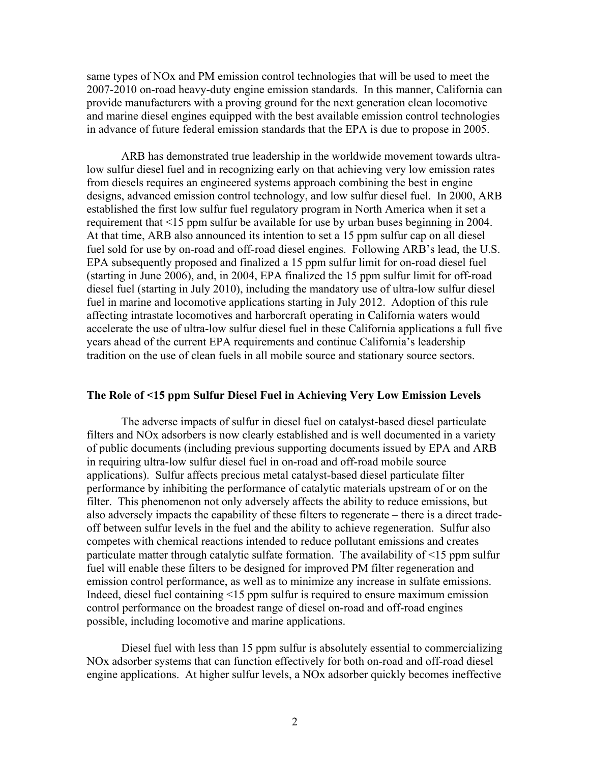same types of NOx and PM emission control technologies that will be used to meet the 2007-2010 on-road heavy-duty engine emission standards. In this manner, California can provide manufacturers with a proving ground for the next generation clean locomotive and marine diesel engines equipped with the best available emission control technologies in advance of future federal emission standards that the EPA is due to propose in 2005.

ARB has demonstrated true leadership in the worldwide movement towards ultralow sulfur diesel fuel and in recognizing early on that achieving very low emission rates from diesels requires an engineered systems approach combining the best in engine designs, advanced emission control technology, and low sulfur diesel fuel. In 2000, ARB established the first low sulfur fuel regulatory program in North America when it set a requirement that <15 ppm sulfur be available for use by urban buses beginning in 2004. At that time, ARB also announced its intention to set a 15 ppm sulfur cap on all diesel fuel sold for use by on-road and off-road diesel engines. Following ARB's lead, the U.S. EPA subsequently proposed and finalized a 15 ppm sulfur limit for on-road diesel fuel (starting in June 2006), and, in 2004, EPA finalized the 15 ppm sulfur limit for off-road diesel fuel (starting in July 2010), including the mandatory use of ultra-low sulfur diesel fuel in marine and locomotive applications starting in July 2012. Adoption of this rule affecting intrastate locomotives and harborcraft operating in California waters would accelerate the use of ultra-low sulfur diesel fuel in these California applications a full five years ahead of the current EPA requirements and continue California's leadership tradition on the use of clean fuels in all mobile source and stationary source sectors.

## **The Role of <15 ppm Sulfur Diesel Fuel in Achieving Very Low Emission Levels**

The adverse impacts of sulfur in diesel fuel on catalyst-based diesel particulate filters and NOx adsorbers is now clearly established and is well documented in a variety of public documents (including previous supporting documents issued by EPA and ARB in requiring ultra-low sulfur diesel fuel in on-road and off-road mobile source applications). Sulfur affects precious metal catalyst-based diesel particulate filter performance by inhibiting the performance of catalytic materials upstream of or on the filter. This phenomenon not only adversely affects the ability to reduce emissions, but also adversely impacts the capability of these filters to regenerate – there is a direct tradeoff between sulfur levels in the fuel and the ability to achieve regeneration. Sulfur also competes with chemical reactions intended to reduce pollutant emissions and creates particulate matter through catalytic sulfate formation. The availability of <15 ppm sulfur fuel will enable these filters to be designed for improved PM filter regeneration and emission control performance, as well as to minimize any increase in sulfate emissions. Indeed, diesel fuel containing <15 ppm sulfur is required to ensure maximum emission control performance on the broadest range of diesel on-road and off-road engines possible, including locomotive and marine applications.

Diesel fuel with less than 15 ppm sulfur is absolutely essential to commercializing NOx adsorber systems that can function effectively for both on-road and off-road diesel engine applications. At higher sulfur levels, a NOx adsorber quickly becomes ineffective